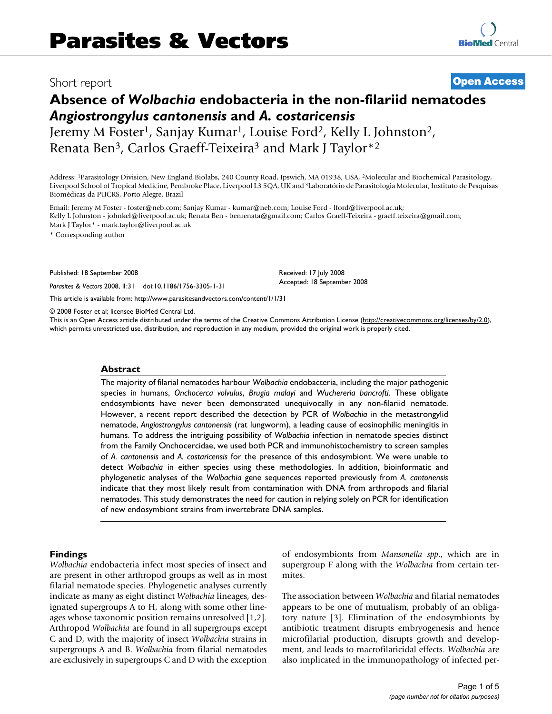# Short report **[Open Access](http://www.biomedcentral.com/info/about/charter/)**

# **Absence of** *Wolbachia* **endobacteria in the non-filariid nematodes**  *Angiostrongylus cantonensis* **and** *A. costaricensis*

Jeremy M Foster<sup>1</sup>, Sanjay Kumar<sup>1</sup>, Louise Ford<sup>2</sup>, Kelly L Johnston<sup>2</sup>, Renata Ben3, Carlos Graeff-Teixeira3 and Mark J Taylor\*2

Address: 1Parasitology Division, New England Biolabs, 240 County Road, Ipswich, MA 01938, USA, 2Molecular and Biochemical Parasitology, Liverpool School of Tropical Medicine, Pembroke Place, Liverpool L3 5QA, UK and 3Laboratório de Parasitologia Molecular, Instituto de Pesquisas Biomédicas da PUCRS, Porto Alegre, Brazil

Email: Jeremy M Foster - foster@neb.com; Sanjay Kumar - kumar@neb.com; Louise Ford - lford@liverpool.ac.uk; Kelly L Johnston - johnkel@liverpool.ac.uk; Renata Ben - benrenata@gmail.com; Carlos Graeff-Teixeira - graeff.teixeira@gmail.com; Mark J Taylor\* - mark.taylor@liverpool.ac.uk

\* Corresponding author

Published: 18 September 2008

*Parasites & Vectors* 2008, **1**:31 doi:10.1186/1756-3305-1-31

[This article is available from: http://www.parasitesandvectors.com/content/1/1/31](http://www.parasitesandvectors.com/content/1/1/31)

© 2008 Foster et al; licensee BioMed Central Ltd.

This is an Open Access article distributed under the terms of the Creative Commons Attribution License [\(http://creativecommons.org/licenses/by/2.0\)](http://creativecommons.org/licenses/by/2.0), which permits unrestricted use, distribution, and reproduction in any medium, provided the original work is properly cited.

Received: 17 July 2008 Accepted: 18 September 2008

#### **Abstract**

The majority of filarial nematodes harbour *Wolbachia* endobacteria, including the major pathogenic species in humans, *Onchocerca volvulus*, *Brugia malayi* and *Wuchereria bancrofti*. These obligate endosymbionts have never been demonstrated unequivocally in any non-filariid nematode. However, a recent report described the detection by PCR of *Wolbachia* in the metastrongylid nematode, *Angiostrongylus cantonensis* (rat lungworm), a leading cause of eosinophilic meningitis in humans. To address the intriguing possibility of *Wolbachia* infection in nematode species distinct from the Family Onchocercidae, we used both PCR and immunohistochemistry to screen samples of *A. cantonensis* and *A. costaricensis* for the presence of this endosymbiont. We were unable to detect *Wolbachia* in either species using these methodologies. In addition, bioinformatic and phylogenetic analyses of the *Wolbachia* gene sequences reported previously from *A. cantonensis* indicate that they most likely result from contamination with DNA from arthropods and filarial nematodes. This study demonstrates the need for caution in relying solely on PCR for identification of new endosymbiont strains from invertebrate DNA samples.

#### **Findings**

*Wolbachia* endobacteria infect most species of insect and are present in other arthropod groups as well as in most filarial nematode species. Phylogenetic analyses currently indicate as many as eight distinct *Wolbachia* lineages, designated supergroups A to H, along with some other lineages whose taxonomic position remains unresolved [1,2]. Arthropod *Wolbachia* are found in all supergroups except C and D, with the majority of insect *Wolbachia* strains in supergroups A and B. *Wolbachia* from filarial nematodes are exclusively in supergroups C and D with the exception of endosymbionts from *Mansonella spp*., which are in supergroup F along with the *Wolbachia* from certain termites.

The association between *Wolbachia* and filarial nematodes appears to be one of mutualism, probably of an obligatory nature [3]. Elimination of the endosymbionts by antibiotic treatment disrupts embryogenesis and hence microfilarial production, disrupts growth and development, and leads to macrofilaricidal effects. *Wolbachia* are also implicated in the immunopathology of infected per-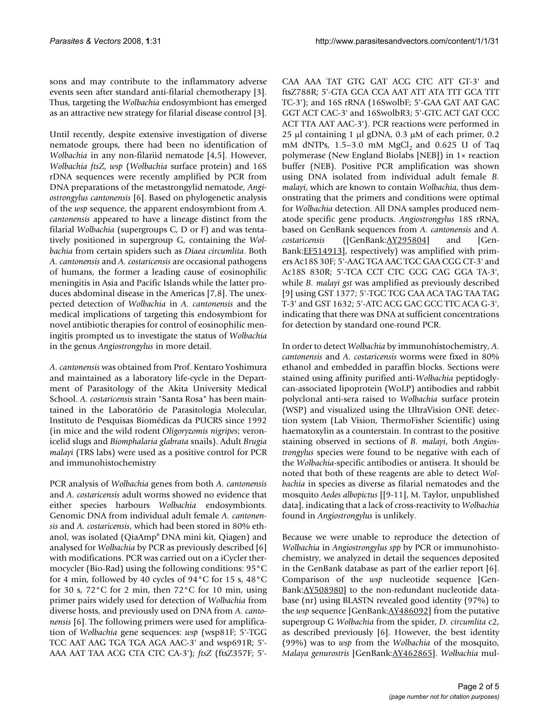sons and may contribute to the inflammatory adverse events seen after standard anti-filarial chemotherapy [3]. Thus, targeting the *Wolbachia* endosymbiont has emerged as an attractive new strategy for filarial disease control [3].

Until recently, despite extensive investigation of diverse nematode groups, there had been no identification of *Wolbachia* in any non-filariid nematode [4,5]. However, *Wolbachia ftsZ*, *wsp* (*Wolbachia* surface protein) and 16S rDNA sequences were recently amplified by PCR from DNA preparations of the metastrongylid nematode, *Angiostrongylus cantonensis* [6]. Based on phylogenetic analysis of the *wsp* sequence, the apparent endosymbiont from *A. cantonensis* appeared to have a lineage distinct from the filarial *Wolbachia* (supergroups C, D or F) and was tentatively positioned in supergroup G, containing the *Wolbachia* from certain spiders such as *Diaea circumlita*. Both *A. cantonensis* and *A. costaricensis* are occasional pathogens of humans, the former a leading cause of eosinophilic meningitis in Asia and Pacific Islands while the latter produces abdominal disease in the Americas [7,8]. The unexpected detection of *Wolbachia* in *A. cantonensis* and the medical implications of targeting this endosymbiont for novel antibiotic therapies for control of eosinophilic meningitis prompted us to investigate the status of *Wolbachia* in the genus *Angiostrongylus* in more detail.

*A. cantonensis* was obtained from Prof. Kentaro Yoshimura and maintained as a laboratory life-cycle in the Department of Parasitology of the Akita University Medical School. *A. costaricensis* strain "Santa Rosa" has been maintained in the Laboratório de Parasitologia Molecular, Instituto de Pesquisas Biomédicas da PUCRS since 1992 (in mice and the wild rodent *Oligoryzomis nigripes*; veronicelid slugs and *Biomphalaria glabrata* snails). Adult *Brugia malayi* (TRS labs) were used as a positive control for PCR and immunohistochemistry

PCR analysis of *Wolbachia* genes from both *A. cantonensis* and *A. costaricensis* adult worms showed no evidence that either species harbours *Wolbachia* endosymbionts. Genomic DNA from individual adult female *A. cantonensis* and *A. costaricensis*, which had been stored in 80% ethanol, was isolated (QiaAmp® DNA mini kit, Qiagen) and analysed for *Wolbachia* by PCR as previously described [6] with modifications. PCR was carried out on a iCycler thermocycler (Bio-Rad) using the following conditions: 95°C for 4 min, followed by 40 cycles of 94°C for 15 s, 48°C for 30 s, 72°C for 2 min, then 72°C for 10 min, using primer pairs widely used for detection of *Wolbachia* from diverse hosts, and previously used on DNA from *A. cantonensis* [6]. The following primers were used for amplification of *Wolbachia* gene sequences: *wsp* (wsp81F; 5'-TGG TCC AAT AAG TGA TGA AGA AAC-3' and wsp691R; 5'- AAA AAT TAA ACG CTA CTC CA-3'); *ftsZ* (ftsZ357F; 5'-

CAA AAA TAT GTG GAT ACG CTC ATT GT-3' and ftsZ788R; 5'-GTA GCA CCA AAT ATT ATA TTT GCA TTT TC-3'); and 16S rRNA (16SwolbF; 5'-GAA GAT AAT GAC GGT ACT CAC-3' and 16SwolbR3; 5'-GTC ACT GAT CCC ACT TTA AAT AAC-3'). PCR reactions were performed in 25 μl containing 1 μl gDNA, 0.3 μM of each primer, 0.2 mM dNTPs,  $1.5-3.0$  mM MgCl<sub>2</sub> and  $0.625$  U of Taq polymerase (New England Biolabs [NEB]) in 1× reaction buffer (NEB). Positive PCR amplification was shown using DNA isolated from individual adult female *B. malayi*, which are known to contain *Wolbachia*, thus demonstrating that the primers and conditions were optimal for *Wolbachia* detection. All DNA samples produced nematode specific gene products. *Angiostrongylus* 18S rRNA, based on GenBank sequences from *A. cantonensis* and *A. costaricensis* ([GenBank:[AY295804](http://www.ncbi.nih.gov/entrez/query.fcgi?db=Nucleotide&cmd=search&term=AY295804)] and [Gen-Bank:[EF514913\]](http://www.ncbi.nih.gov/entrez/query.fcgi?db=Nucleotide&cmd=search&term=EF514913), respectively) was amplified with primers Ac18S 30F; 5'-AAG TGA AAC TGC GAA CGG CT-3' and Ac18S 830R; 5'-TCA CCT CTC GCG CAG GGA TA-3', while *B. malayi gst* was amplified as previously described [9] using GST 1377; 5'-TGC TCG CAA ACA TAG TAA TAG T-3' and GST 1632; 5'-ATC ACG GAC GCC TTC ACA G-3', indicating that there was DNA at sufficient concentrations for detection by standard one-round PCR.

In order to detect *Wolbachia* by immunohistochemistry, *A. cantonensis* and *A. costaricensis* worms were fixed in 80% ethanol and embedded in paraffin blocks. Sections were stained using affinity purified anti-*Wolbachia* peptidoglycan-associated lipoprotein (WoLP) antibodies and rabbit polyclonal anti-sera raised to *Wolbachia* surface protein (WSP) and visualized using the UltraVision ONE detection system (Lab Vision, ThermoFisher Scientific) using haematoxylin as a counterstain. In contrast to the positive staining observed in sections of *B. malayi*, both *Angiostrongylus* species were found to be negative with each of the *Wolbachia*-specific antibodies or antisera. It should be noted that both of these reagents are able to detect *Wolbachia* in species as diverse as filarial nematodes and the mosquito *Aedes albopictus* [[9-[11\]](#page-4-0), M. Taylor, unpublished data], indicating that a lack of cross-reactivity to *Wolbachia* found in *Angiostrongylus* is unlikely.

Because we were unable to reproduce the detection of *Wolbachia* in *Angiostrongylus spp* by PCR or immunohistochemistry, we analyzed in detail the sequences deposited in the GenBank database as part of the earlier report [6]. Comparison of the *wsp* nucleotide sequence [Gen-Bank:[AY508980](http://www.ncbi.nih.gov/entrez/query.fcgi?db=Nucleotide&cmd=search&term=AY508980)] to the non-redundant nucleotide database (nr) using BLASTN revealed good identity (97%) to the *wsp* sequence [GenBank[:AY486092](http://www.ncbi.nih.gov/entrez/query.fcgi?db=Nucleotide&cmd=search&term=AY486092)] from the putative supergroup G *Wolbachia* from the spider, *D. circumlita* c2, as described previously [6]. However, the best identity (99%) was to *wsp* from the *Wolbachia* of the mosquito, *Malaya genurostris* [GenBank:[AY462865\]](http://www.ncbi.nih.gov/entrez/query.fcgi?db=Nucleotide&cmd=search&term=AY462865). *Wolbachia* mul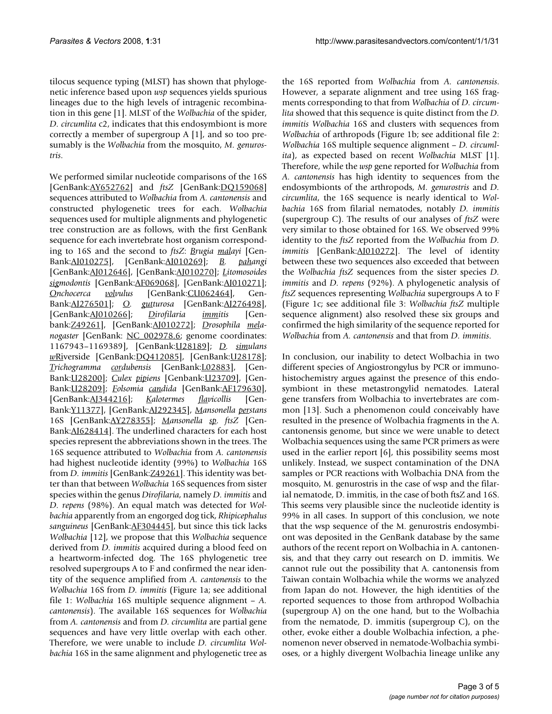tilocus sequence typing (MLST) has shown that phylogenetic inference based upon *wsp* sequences yields spurious lineages due to the high levels of intragenic recombination in this gene [1]. MLST of the *Wolbachia* of the spider, *D. circumlita* c2, indicates that this endosymbiont is more correctly a member of supergroup A [1], and so too presumably is the *Wolbachia* from the mosquito, *M. genurostris*.

We performed similar nucleotide comparisons of the 16S [GenBank:[AY652762](http://www.ncbi.nih.gov/entrez/query.fcgi?db=Nucleotide&cmd=search&term=AY652762)] and *ftsZ* [GenBank:[DQ159068\]](http://www.ncbi.nih.gov/entrez/query.fcgi?db=Nucleotide&cmd=search&term=DQ159068) sequences attributed to *Wolbachia* from *A. cantonensis* and constructed phylogenetic trees for each. *Wolbachia* sequences used for multiple alignments and phylogenetic tree construction are as follows, with the first GenBank sequence for each invertebrate host organism corresponding to 16S and the second to *ftsZ*: *Brugia malayi* [Gen-Bank:[AJ010275\]](http://www.ncbi.nih.gov/entrez/query.fcgi?db=Nucleotide&cmd=search&term=AJ010275), [GenBank[:AJ010269](http://www.ncbi.nih.gov/entrez/query.fcgi?db=Nucleotide&cmd=search&term=AJ010269)]; *B. pahangi* [GenBank:[AJ012646\]](http://www.ncbi.nih.gov/entrez/query.fcgi?db=Nucleotide&cmd=search&term=AJ012646), [GenBank:[AJ010270](http://www.ncbi.nih.gov/entrez/query.fcgi?db=Nucleotide&cmd=search&term=AJ010270)]; *Litomosoides sigmodontis* [GenBank:[AF069068](http://www.ncbi.nih.gov/entrez/query.fcgi?db=Nucleotide&cmd=search&term=AF069068)], [GenBank[:AJ010271](http://www.ncbi.nih.gov/entrez/query.fcgi?db=Nucleotide&cmd=search&term=AJ010271)]; *Onchocerca volvulus* [GenBank[:CU062464\]](http://www.ncbi.nih.gov/entrez/query.fcgi?db=Nucleotide&cmd=search&term=CU062464), Gen-Bank:[AJ276501\]](http://www.ncbi.nih.gov/entrez/query.fcgi?db=Nucleotide&cmd=search&term=AJ276501); *O. gutturosa* [GenBank[:AJ276498](http://www.ncbi.nih.gov/entrez/query.fcgi?db=Nucleotide&cmd=search&term=AJ276498)], [GenBank:[AJ010266\]](http://www.ncbi.nih.gov/entrez/query.fcgi?db=Nucleotide&cmd=search&term=AJ010266); *Dirofilaria immitis* [Genbank:[Z49261\]](http://www.ncbi.nih.gov/entrez/query.fcgi?db=Nucleotide&cmd=search&term=Z49261), [GenBank[:AJ010272](http://www.ncbi.nih.gov/entrez/query.fcgi?db=Nucleotide&cmd=search&term=AJ010272)]; *Drosophila melanogaster* [GenBank: [NC\\_002978.6](http://www.ncbi.nih.gov/entrez/query.fcgi?db=Nucleotide&cmd=search&term=NC_002978.6); genome coordinates: 1167943–1169389], [GenBank:[U28189](http://www.ncbi.nih.gov/entrez/query.fcgi?db=Nucleotide&cmd=search&term=U28189)]; *D. simulans w*Riverside [GenBank:[DQ412085\]](http://www.ncbi.nih.gov/entrez/query.fcgi?db=Nucleotide&cmd=search&term=DQ412085), [GenBank:[U28178](http://www.ncbi.nih.gov/entrez/query.fcgi?db=Nucleotide&cmd=search&term=U28178)]; *Trichogramma cordubensis* [GenBank:[L02883\]](http://www.ncbi.nih.gov/entrez/query.fcgi?db=Nucleotide&cmd=search&term=L02883), [Gen-Bank:[U28200](http://www.ncbi.nih.gov/entrez/query.fcgi?db=Nucleotide&cmd=search&term=U28200)]; *Culex pipiens* [Genbank[:U23709\]](http://www.ncbi.nih.gov/entrez/query.fcgi?db=Nucleotide&cmd=search&term=U23709), [Gen-Bank:[U28209](http://www.ncbi.nih.gov/entrez/query.fcgi?db=Nucleotide&cmd=search&term=U28209)]; *Folsomia candida* [GenBank:[AF179630](http://www.ncbi.nih.gov/entrez/query.fcgi?db=Nucleotide&cmd=search&term=AF179630)], [GenBank:[AJ344216\]](http://www.ncbi.nih.gov/entrez/query.fcgi?db=Nucleotide&cmd=search&term=AJ344216); *Kalotermes flavicollis* [Gen-Bank:[Y11377\]](http://www.ncbi.nih.gov/entrez/query.fcgi?db=Nucleotide&cmd=search&term=Y11377), [GenBank[:AJ292345](http://www.ncbi.nih.gov/entrez/query.fcgi?db=Nucleotide&cmd=search&term=AJ292345)], *Mansonella perstans* 16S [GenBank:[AY278355\]](http://www.ncbi.nih.gov/entrez/query.fcgi?db=Nucleotide&cmd=search&term=AY278355); *Mansonella sp*. *ftsZ* [Gen-Bank:[AJ628414\]](http://www.ncbi.nih.gov/entrez/query.fcgi?db=Nucleotide&cmd=search&term=AJ628414). The underlined characters for each host species represent the abbreviations shown in the trees. The 16S sequence attributed to *Wolbachia* from *A. cantonensis* had highest nucleotide identity (99%) to *Wolbachia* 16S from *D. immitis* [GenBank: **Z49261**]. This identity was better than that between *Wolbachia* 16S sequences from sister species within the genus *Dirofilaria*, namely *D. immitis* and *D. repens* (98%). An equal match was detected for *Wolbachia* apparently from an engorged dog tick, *Rhipicephalus sanguineus* [GenBank:[AF304445](http://www.ncbi.nih.gov/entrez/query.fcgi?db=Nucleotide&cmd=search&term=AF304445)], but since this tick lacks *Wolbachia* [12], we propose that this *Wolbachia* sequence derived from *D. immitis* acquired during a blood feed on a heartworm-infected dog. The 16S phylogenetic tree resolved supergroups A to F and confirmed the near identity of the sequence amplified from *A. cantonensis* to the *Wolbachia* 16S from *D. immitis* (Figure 1a; see additional file 1: *Wolbachia* 16S multiple sequence alignment – *A. cantonensis*). The available 16S sequences for *Wolbachia* from *A. cantonensis* and from *D. circumlita* are partial gene sequences and have very little overlap with each other. Therefore, we were unable to include *D. circumlita Wolbachia* 16S in the same alignment and phylogenetic tree as

the 16S reported from *Wolbachia* from *A. cantonensis*. However, a separate alignment and tree using 16S fragments corresponding to that from *Wolbachia* of *D. circumlita* showed that this sequence is quite distinct from the *D. immitis Wolbachia* 16S and clusters with sequences from *Wolbachia* of arthropods (Figure 1b; see additional file 2: *Wolbachia* 16S multiple sequence alignment – *D. circumlita*), as expected based on recent *Wolbachia* MLST [1]. Therefore, while the *wsp* gene reported for *Wolbachia* from *A. cantonensis* has high identity to sequences from the endosymbionts of the arthropods, *M. genurostris* and *D. circumlita*, the 16S sequence is nearly identical to *Wolbachia* 16S from filarial nematodes, notably *D. immitis* (supergroup C). The results of our analyses of *ftsZ* were very similar to those obtained for 16S. We observed 99% identity to the *ftsZ* reported from the *Wolbachia* from *D. immitis* [GenBank[:AJ010272](http://www.ncbi.nih.gov/entrez/query.fcgi?db=Nucleotide&cmd=search&term=AJ010272)]. The level of identity between these two sequences also exceeded that between the *Wolbachia ftsZ* sequences from the sister species *D. immitis* and *D. repens* (92%). A phylogenetic analysis of *ftsZ* sequences representing *Wolbachia* supergroups A to F (Figure 1c; see additional file 3: *Wolbachia ftsZ* multiple sequence alignment) also resolved these six groups and confirmed the high similarity of the sequence reported for *Wolbachia* from *A. cantonensis* and that from *D. immitis*.

In conclusion, our inability to detect Wolbachia in two different species of Angiostrongylus by PCR or immunohistochemistry argues against the presence of this endosymbiont in these metastrongylid nematodes. Lateral gene transfers from Wolbachia to invertebrates are common [13]. Such a phenomenon could conceivably have resulted in the presence of Wolbachia fragments in the A. cantonensis genome, but since we were unable to detect Wolbachia sequences using the same PCR primers as were used in the earlier report [6], this possibility seems most unlikely. Instead, we suspect contamination of the DNA samples or PCR reactions with Wolbachia DNA from the mosquito, M. genurostris in the case of wsp and the filarial nematode, D. immitis, in the case of both ftsZ and 16S. This seems very plausible since the nucleotide identity is 99% in all cases. In support of this conclusion, we note that the wsp sequence of the M. genurostris endosymbiont was deposited in the GenBank database by the same authors of the recent report on Wolbachia in A. cantonensis, and that they carry out research on D. immitis. We cannot rule out the possibility that A. cantonensis from Taiwan contain Wolbachia while the worms we analyzed from Japan do not. However, the high identities of the reported sequences to those from arthropod Wolbachia (supergroup A) on the one hand, but to the Wolbachia from the nematode, D. immitis (supergroup C), on the other, evoke either a double Wolbachia infection, a phenomenon never observed in nematode-Wolbachia symbioses, or a highly divergent Wolbachia lineage unlike any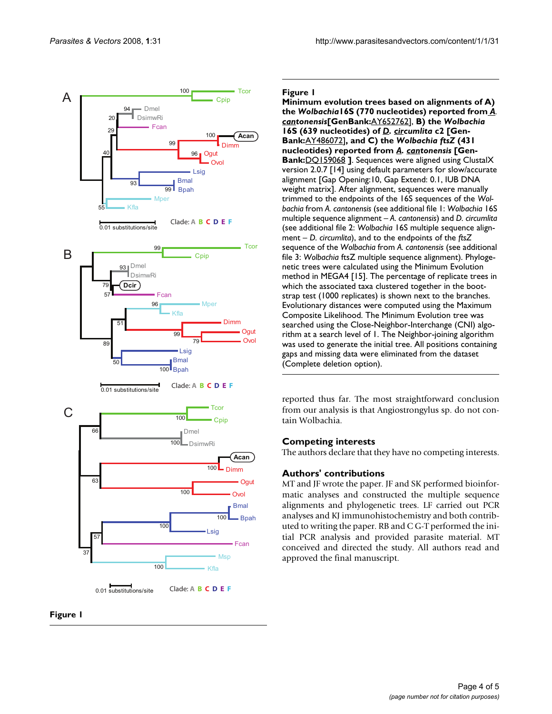



#### Figure 1

**Minimum evolution trees based on alignments of A) the** *Wolbachia***16S (770 nucleotides) reported from** *A. cantonensis***[GenBank:**[AY652762](http://www.ncbi.nih.gov/entrez/query.fcgi?db=Nucleotide&cmd=search&term=AY652762)], **B) the** *Wolbachia*  **16S (639 nucleotides) of** *D. circumlita* **c2 [Gen-Bank:**[AY486072](http://www.ncbi.nih.gov/entrez/query.fcgi?db=Nucleotide&cmd=search&term=AY486072)]**, and C) the** *Wolbachia ftsZ* **(431 nucleotides) reported from** *A. cantonensis* **[Gen-Bank:**[DQ159068](http://www.ncbi.nih.gov/entrez/query.fcgi?db=Nucleotide&cmd=search&term=DQ159068) **]**. Sequences were aligned using ClustalX version 2.0.7 [14] using default parameters for slow/accurate alignment [Gap Opening:10, Gap Extend: 0.1, IUB DNA weight matrix]. After alignment, sequences were manually trimmed to the endpoints of the 16S sequences of the *Wolbachia* from *A. cantonensis* (see additional file 1: *Wolbachia* 16S multiple sequence alignment – *A. cantonensis*) and *D. circumlita*  (see additional file 2: *Wolbachia* 16S multiple sequence alignment – *D. circumlita*), and to the endpoints of the *ftsZ*  sequence of the *Wolbachia* from *A. cantonensis* (see additional file 3: *Wolbachia* ftsZ multiple sequence alignment). Phylogenetic trees were calculated using the Minimum Evolution method in MEGA4 [15]. The percentage of replicate trees in which the associated taxa clustered together in the bootstrap test (1000 replicates) is shown next to the branches. Evolutionary distances were computed using the Maximum Composite Likelihood. The Minimum Evolution tree was searched using the Close-Neighbor-Interchange (CNI) algorithm at a search level of 1. The Neighbor-joining algorithm was used to generate the initial tree. All positions containing gaps and missing data were eliminated from the dataset (Complete deletion option).

reported thus far. The most straightforward conclusion from our analysis is that Angiostrongylus sp. do not contain Wolbachia.

#### **Competing interests**

The authors declare that they have no competing interests.

#### **Authors' contributions**

MT and JF wrote the paper. JF and SK performed bioinformatic analyses and constructed the multiple sequence alignments and phylogenetic trees. LF carried out PCR analyses and KJ immunohistochemistry and both contributed to writing the paper. RB and C G-T performed the initial PCR analysis and provided parasite material. MT conceived and directed the study. All authors read and approved the final manuscript.